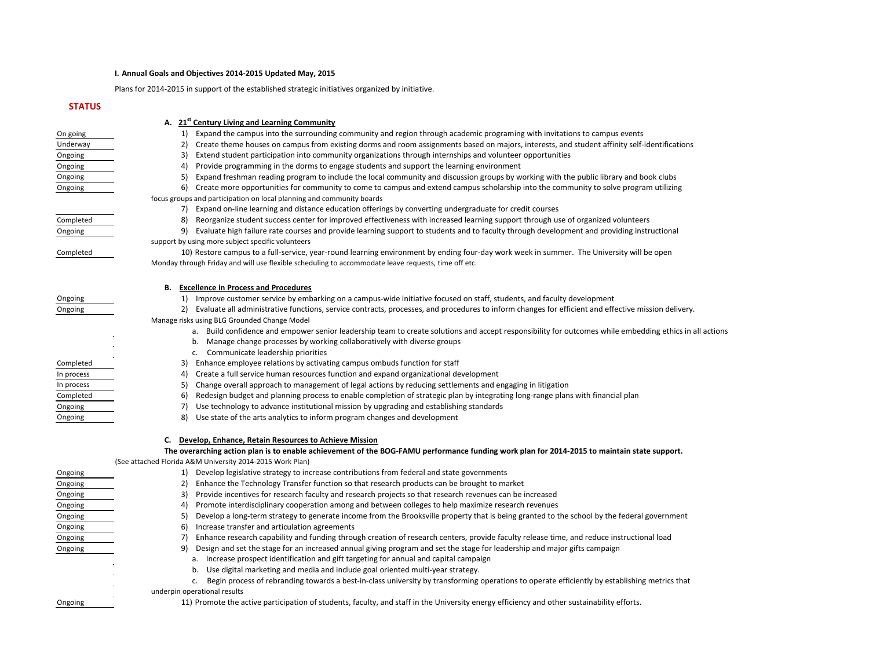#### **I. Annual Goals and Objectives 2014-2015 Updated May, 2015**

Plans for 2014-2015 in support of the established strategic initiatives organized by initiative.

#### **A. 21st Century Living and Learning Community**

On going 1) Expand the campus into the surrounding community and region through academic programing with invitations to campus events

Underway 2) Create theme houses on campus from existing dorms and room assignments based on majors, interests, and student affinity self-identifications

Ongoing 3) Extend student participation into community organizations through internships and volunteer opportunities

Ongoing 1986 Congoing 4) Provide programming in the dorms to engage students and support the learning environment

Ongoing 1992 12 Evaluate high failure rate courses and provide learning support to students and to faculty through development and providing instructional support by using more subject specific volunteers

Ongoing 5) Expand freshman reading program to include the local community and discussion groups by working with the public library and book clubs

Ongoing 6) Create more opportunities for community to come to campus and extend campus scholarship into the community to solve program utilizing focus groups and participation on local planning and community boards

- a. Build confidence and empower senior leadership team to create solutions and accept responsibility for outcomes while embedding ethics in all actions
- b. Manage change processes by working collaboratively with diverse groups
- c. Communicate leadership priorities
- 3) Enhance employee relations by activating campus ombuds function for staff
- 4) Create a full service human resources function and expand organizational development
- 5) Change overall approach to management of legal actions by reducing settlements and engaging in litigation
- 6) Redesign budget and planning process to enable completion of strategic plan by integrating long-range plans with financial plan
- 7) Use technology to advance institutional mission by upgrading and establishing standards
- 8) Use state of the arts analytics to inform program changes and development

7) Expand on-line learning and distance education offerings by converting undergraduate for credit courses

Completed 8) Reorganize student success center for improved effectiveness with increased learning support through use of organized volunteers

Completed 10) Restore campus to a full-service, year-round learning environment by ending four-day work week in summer. The University will be open Monday through Friday and will use flexible scheduling to accommodate leave requests, time off etc.

#### **B. Excellence in Process and Procedures**

Ongoing 1) Improve customer service by embarking on a campus-wide initiative focused on staff, students, and faculty development

Ongoing 2) Evaluate all administrative functions, service contracts, processes, and procedures to inform changes for efficient and effective mission delivery.

Manage risks using BLG Grounded Change Model

## **C. Develop, Enhance, Retain Resources to Achieve Mission**

### **The overarching action plan is to enable achievement of the BOG-FAMU performance funding work plan for 2014-2015 to maintain state support.**  (See attached Florida A&M University 2014-2015 Work Plan)

| Ongoing | Develop legislative strategy to increase contributions from federal and state governments                                                         |
|---------|---------------------------------------------------------------------------------------------------------------------------------------------------|
| Ongoing | Enhance the Technology Transfer function so that research products can be brought to market<br>2)                                                 |
| Ongoing | Provide incentives for research faculty and research projects so that research revenues can be increased<br>3)                                    |
| Ongoing | Promote interdisciplinary cooperation among and between colleges to help maximize research revenues<br>4)                                         |
| Ongoing | Develop a long-term strategy to generate income from the Brooksville property that is being granted to the school by the federal government<br>5) |
| Ongoing | Increase transfer and articulation agreements<br>6)                                                                                               |
| Ongoing | Enhance research capability and funding through creation of research centers, provide faculty release time, and reduce instructional load         |
| Ongoing | Design and set the stage for an increased annual giving program and set the stage for leadership and major gifts campaign<br>9).                  |
|         | a. Increase prospect identification and gift targeting for annual and capital campaign                                                            |
|         | b. Use digital marketing and media and include goal oriented multi-year strategy.                                                                 |
|         | Begin process of rebranding towards a best-in-class university by transforming operations to operate efficiently by establishing metrics that     |
|         | underpin operational results                                                                                                                      |
| Ongoing | 11) Promote the active participation of students, faculty, and staff in the University energy efficiency and other sustainability efforts.        |

| Completed  |  |
|------------|--|
| In process |  |
| In process |  |
| Completed  |  |
| Ongoing    |  |
| Ongoing    |  |
|            |  |

## **STATUS**